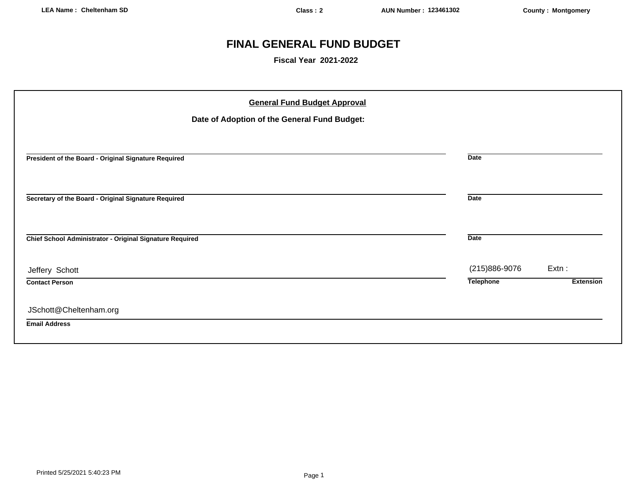## **FINAL GENERAL FUND BUDGET**

**Fiscal Year 2021-2022**

|                                                          | <b>General Fund Budget Approval</b><br>Date of Adoption of the General Fund Budget: |                  |                  |
|----------------------------------------------------------|-------------------------------------------------------------------------------------|------------------|------------------|
| President of the Board - Original Signature Required     |                                                                                     | <b>Date</b>      |                  |
| Secretary of the Board - Original Signature Required     |                                                                                     | <b>Date</b>      |                  |
| Chief School Administrator - Original Signature Required |                                                                                     | <b>Date</b>      |                  |
| Jeffery Schott                                           |                                                                                     | (215)886-9076    | Extn:            |
| <b>Contact Person</b>                                    |                                                                                     | <b>Telephone</b> | <b>Extension</b> |
| JSchott@Cheltenham.org                                   |                                                                                     |                  |                  |
| <b>Email Address</b>                                     |                                                                                     |                  |                  |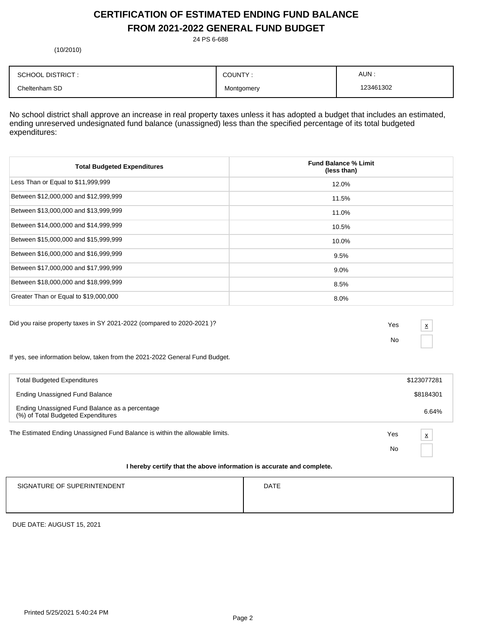## **CERTIFICATION OF ESTIMATED ENDING FUND BALANCE FROM 2021-2022 GENERAL FUND BUDGET**

24 PS 6-688

(10/2010)

| <b>SCHOOL DISTRICT:</b> | COUNTY:    | AUN:      |
|-------------------------|------------|-----------|
| Cheltenham SD           | Montgomery | 123461302 |

No school district shall approve an increase in real property taxes unless it has adopted a budget that includes an estimated, ending unreserved undesignated fund balance (unassigned) less than the specified percentage of its total budgeted expenditures:

| <b>Total Budgeted Expenditures</b>    | <b>Fund Balance % Limit</b><br>(less than) |
|---------------------------------------|--------------------------------------------|
| Less Than or Equal to \$11,999,999    | 12.0%                                      |
| Between \$12,000,000 and \$12,999,999 | 11.5%                                      |
| Between \$13,000,000 and \$13,999,999 | 11.0%                                      |
| Between \$14,000,000 and \$14,999,999 | 10.5%                                      |
| Between \$15,000,000 and \$15,999,999 | 10.0%                                      |
| Between \$16,000,000 and \$16,999,999 | 9.5%                                       |
| Between \$17,000,000 and \$17,999,999 | $9.0\%$                                    |
| Between \$18,000,000 and \$18,999,999 | 8.5%                                       |
| Greater Than or Equal to \$19,000,000 | 8.0%                                       |

Did you raise property taxes in SY 2021-2022 (compared to 2020-2021 )? Yes

No

x

If yes, see information below, taken from the 2021-2022 General Fund Budget.

| <b>Total Budgeted Expenditures</b>                                                       |     | \$123077281 |
|------------------------------------------------------------------------------------------|-----|-------------|
| Ending Unassigned Fund Balance                                                           |     | \$8184301   |
| Ending Unassigned Fund Balance as a percentage<br>(%) of Total Budgeted Expenditures     |     | 6.64%       |
| The Estimated Ending Unassigned Fund Balance is within the allowable limits.             | Yes | X           |
|                                                                                          | No  |             |
| this control continuation at a collected to form of the top concerns on the contribution |     |             |

#### **I hereby certify that the above information is accurate and complete.**

| SIGNATURE OF SUPERINTENDENT | <b>DATE</b> |
|-----------------------------|-------------|
|                             |             |

DUE DATE: AUGUST 15, 2021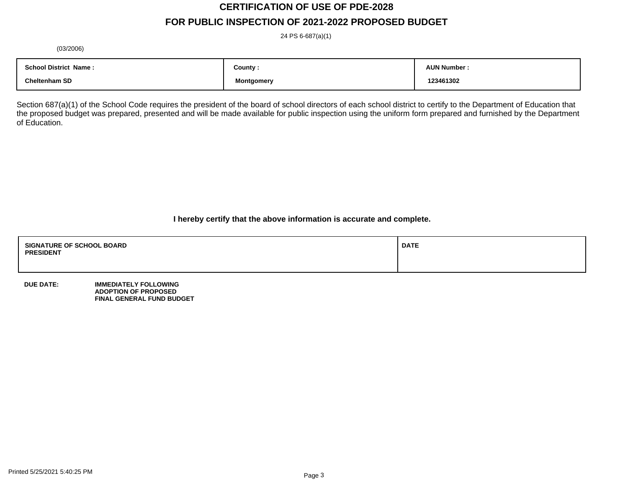# **CERTIFICATION OF USE OF PDE-2028**

## **FOR PUBLIC INSPECTION OF 2021-2022 PROPOSED BUDGET**

24 PS 6-687(a)(1)

(03/2006)

| <b>School District Name:</b> | County :   | <b>AUN Number</b> |
|------------------------------|------------|-------------------|
|                              |            |                   |
| <b>Cheltenham SD</b>         | Montaomerv | 123461302         |

Section 687(a)(1) of the School Code requires the president of the board of school directors of each school district to certify to the Department of Education that the proposed budget was prepared, presented and will be made available for public inspection using the uniform form prepared and furnished by the Department of Education.

**I hereby certify that the above information is accurate and complete.**

| <b>SIGNATURE OF SCHOOL BOARD</b><br><b>PRESIDENT</b> | <b>DATE</b> |
|------------------------------------------------------|-------------|
|                                                      |             |

**DUE DATE: IMMEDIATELY FOLLOWING ADOPTION OF PROPOSED FINAL GENERAL FUND BUDGET**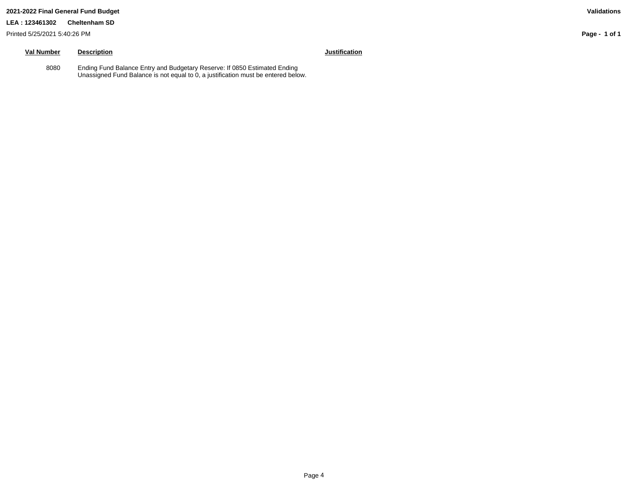#### **2021-2022 Final General Fund Budget Validations**

#### **LEA : 123461302 Cheltenham SD**

Printed 5/25/2021 5:40:26 PM

## **Val Number Description Justification**

8080 Ending Fund Balance Entry and Budgetary Reserve: If 0850 Estimated Ending Unassigned Fund Balance is not equal to 0, a justification must be entered below.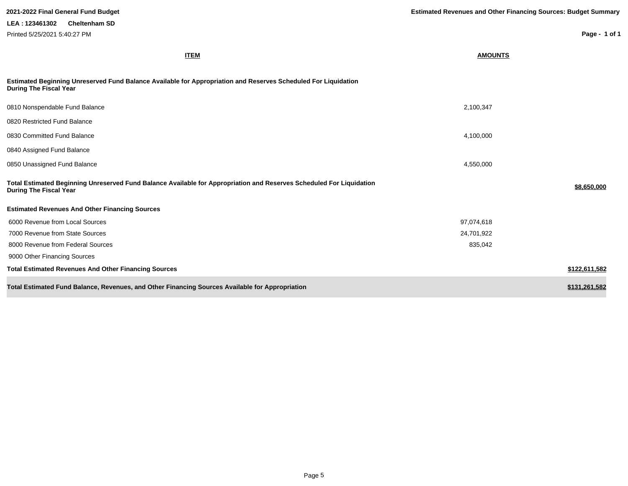| <b>ITEM</b>                                                                                                                                           | <b>AMOUNTS</b> |               |
|-------------------------------------------------------------------------------------------------------------------------------------------------------|----------------|---------------|
| Estimated Beginning Unreserved Fund Balance Available for Appropriation and Reserves Scheduled For Liquidation<br><b>During The Fiscal Year</b>       |                |               |
| 0810 Nonspendable Fund Balance                                                                                                                        | 2,100,347      |               |
| 0820 Restricted Fund Balance                                                                                                                          |                |               |
| 0830 Committed Fund Balance                                                                                                                           | 4,100,000      |               |
| 0840 Assigned Fund Balance                                                                                                                            |                |               |
| 0850 Unassigned Fund Balance                                                                                                                          | 4,550,000      |               |
| Total Estimated Beginning Unreserved Fund Balance Available for Appropriation and Reserves Scheduled For Liquidation<br><b>During The Fiscal Year</b> |                | \$8,650,000   |
| <b>Estimated Revenues And Other Financing Sources</b>                                                                                                 |                |               |
| 6000 Revenue from Local Sources                                                                                                                       | 97,074,618     |               |
| 7000 Revenue from State Sources                                                                                                                       | 24,701,922     |               |
| 8000 Revenue from Federal Sources                                                                                                                     | 835,042        |               |
| 9000 Other Financing Sources                                                                                                                          |                |               |
| <b>Total Estimated Revenues And Other Financing Sources</b>                                                                                           |                | \$122,611,582 |
| Total Estimated Fund Balance, Revenues, and Other Financing Sources Available for Appropriation                                                       |                | \$131,261,582 |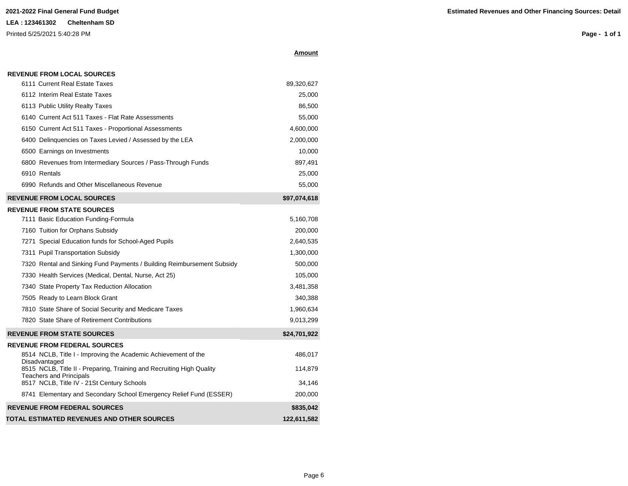**Amount**

| 6111 Current Real Estate Taxes                                                                          | 89,320,627   |  |  |
|---------------------------------------------------------------------------------------------------------|--------------|--|--|
| 6112 Interim Real Estate Taxes                                                                          | 25,000       |  |  |
| 6113 Public Utility Realty Taxes                                                                        | 86,500       |  |  |
| 6140 Current Act 511 Taxes - Flat Rate Assessments                                                      | 55,000       |  |  |
| 6150 Current Act 511 Taxes - Proportional Assessments                                                   | 4,600,000    |  |  |
| 6400 Delinquencies on Taxes Levied / Assessed by the LEA                                                | 2,000,000    |  |  |
| 6500 Earnings on Investments                                                                            | 10,000       |  |  |
| 6800 Revenues from Intermediary Sources / Pass-Through Funds                                            | 897,491      |  |  |
| 6910 Rentals                                                                                            | 25,000       |  |  |
| 6990 Refunds and Other Miscellaneous Revenue                                                            | 55,000       |  |  |
| <b>REVENUE FROM LOCAL SOURCES</b>                                                                       | \$97,074,618 |  |  |
| <b>REVENUE FROM STATE SOURCES</b>                                                                       |              |  |  |
| 7111 Basic Education Funding-Formula                                                                    | 5,160,708    |  |  |
| 7160 Tuition for Orphans Subsidy                                                                        | 200,000      |  |  |
| 7271 Special Education funds for School-Aged Pupils                                                     | 2,640,535    |  |  |
| 7311 Pupil Transportation Subsidy                                                                       | 1,300,000    |  |  |
| 7320 Rental and Sinking Fund Payments / Building Reimbursement Subsidy                                  | 500,000      |  |  |
| 7330 Health Services (Medical, Dental, Nurse, Act 25)                                                   | 105,000      |  |  |
| 7340 State Property Tax Reduction Allocation                                                            | 3,481,358    |  |  |
| 7505 Ready to Learn Block Grant                                                                         | 340,388      |  |  |
| 7810 State Share of Social Security and Medicare Taxes                                                  | 1,960,634    |  |  |
| 7820 State Share of Retirement Contributions                                                            | 9,013,299    |  |  |
| <b>REVENUE FROM STATE SOURCES</b>                                                                       | \$24,701,922 |  |  |
| <b>REVENUE FROM FEDERAL SOURCES</b>                                                                     |              |  |  |
| 8514 NCLB, Title I - Improving the Academic Achievement of the<br>Disadvantaged                         | 486,017      |  |  |
| 8515 NCLB, Title II - Preparing, Training and Recruiting High Quality<br><b>Teachers and Principals</b> | 114,879      |  |  |
| 8517 NCLB, Title IV - 21St Century Schools                                                              | 34,146       |  |  |
| 8741 Elementary and Secondary School Emergency Relief Fund (ESSER)                                      | 200,000      |  |  |
| <b>REVENUE FROM FEDERAL SOURCES</b>                                                                     | \$835,042    |  |  |
| TOTAL ESTIMATED REVENUES AND OTHER SOURCES                                                              | 122,611,582  |  |  |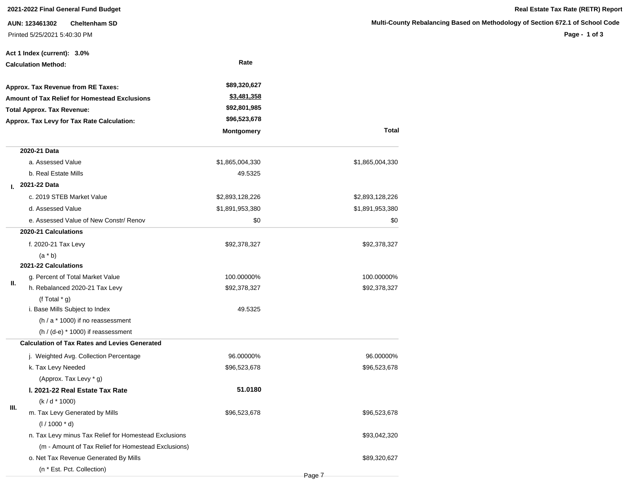**AUN: 123461302 Cheltenham SD** Printed 5/25/2021 5:40:30 PM

|                                            | Act 1 Index (current): 3.0%                           |                    |                 |  |
|--------------------------------------------|-------------------------------------------------------|--------------------|-----------------|--|
|                                            | <b>Calculation Method:</b>                            | Rate               |                 |  |
|                                            | Approx. Tax Revenue from RE Taxes:                    | \$89,320,627       |                 |  |
|                                            | <b>Amount of Tax Relief for Homestead Exclusions</b>  | <u>\$3,481,358</u> |                 |  |
|                                            | <b>Total Approx. Tax Revenue:</b>                     | \$92,801,985       |                 |  |
| Approx. Tax Levy for Tax Rate Calculation: |                                                       | \$96,523,678       |                 |  |
|                                            |                                                       | <b>Montgomery</b>  | Total           |  |
|                                            | 2020-21 Data                                          |                    |                 |  |
|                                            | a. Assessed Value                                     | \$1,865,004,330    | \$1,865,004,330 |  |
|                                            | b. Real Estate Mills                                  | 49.5325            |                 |  |
| L.                                         | 2021-22 Data                                          |                    |                 |  |
|                                            | c. 2019 STEB Market Value                             | \$2,893,128,226    | \$2,893,128,226 |  |
|                                            | d. Assessed Value                                     | \$1,891,953,380    | \$1,891,953,380 |  |
|                                            | e. Assessed Value of New Constr/ Renov                | \$0                | \$0             |  |
|                                            | 2020-21 Calculations                                  |                    |                 |  |
|                                            | f. 2020-21 Tax Levy                                   | \$92,378,327       | \$92,378,327    |  |
|                                            | $(a * b)$                                             |                    |                 |  |
|                                            | 2021-22 Calculations                                  |                    |                 |  |
|                                            | g. Percent of Total Market Value                      | 100.00000%         | 100.00000%      |  |
| II.                                        | h. Rebalanced 2020-21 Tax Levy                        | \$92,378,327       | \$92,378,327    |  |
|                                            | (f Total $*$ g)                                       |                    |                 |  |
|                                            | i. Base Mills Subject to Index                        | 49.5325            |                 |  |
|                                            | $(h / a * 1000)$ if no reassessment                   |                    |                 |  |
|                                            | $(h / (d-e) * 1000)$ if reassessment                  |                    |                 |  |
|                                            | <b>Calculation of Tax Rates and Levies Generated</b>  |                    |                 |  |
|                                            | j. Weighted Avg. Collection Percentage                | 96.00000%          | 96.00000%       |  |
|                                            | k. Tax Levy Needed                                    | \$96,523,678       | \$96,523,678    |  |
|                                            | (Approx. Tax Levy * g)                                |                    |                 |  |
|                                            | I. 2021-22 Real Estate Tax Rate                       | 51.0180            |                 |  |
| Ш.                                         | $(k/d * 1000)$                                        |                    |                 |  |
|                                            | m. Tax Levy Generated by Mills                        | \$96,523,678       | \$96,523,678    |  |
|                                            | $(1/1000 * d)$                                        |                    |                 |  |
|                                            | n. Tax Levy minus Tax Relief for Homestead Exclusions |                    | \$93,042,320    |  |
|                                            | (m - Amount of Tax Relief for Homestead Exclusions)   |                    |                 |  |
|                                            | o. Net Tax Revenue Generated By Mills                 |                    | \$89,320,627    |  |
|                                            | (n * Est. Pct. Collection)                            |                    |                 |  |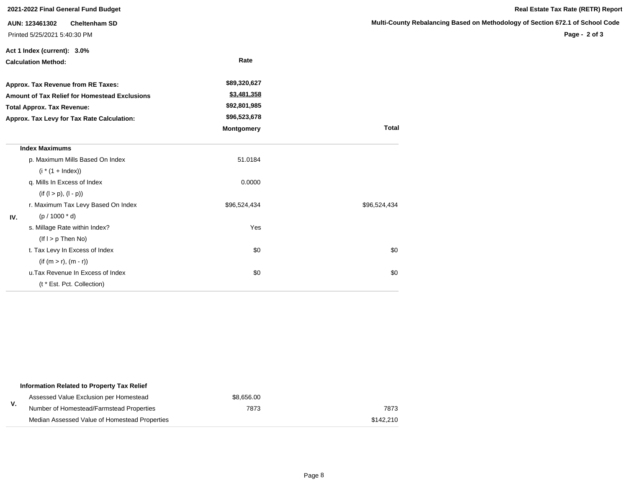|                                                                        | 2021-2022 Final General Fund Budget |                   |                         |
|------------------------------------------------------------------------|-------------------------------------|-------------------|-------------------------|
| <b>Cheltenham SD</b><br>AUN: 123461302<br>Printed 5/25/2021 5:40:30 PM |                                     |                   | <b>Multi-County Rel</b> |
|                                                                        | Act 1 Index (current): 3.0%         |                   |                         |
|                                                                        | <b>Calculation Method:</b>          | Rate              |                         |
|                                                                        | Approx. Tax Revenue from RE Taxes:  | \$89,320,627      |                         |
| Amount of Tax Relief for Homestead Exclusions                          |                                     | \$3,481,358       |                         |
|                                                                        | <b>Total Approx. Tax Revenue:</b>   | \$92,801,985      |                         |
| Approx. Tax Levy for Tax Rate Calculation:                             |                                     | \$96,523,678      |                         |
|                                                                        |                                     | <b>Montgomery</b> | <b>Total</b>            |
|                                                                        | <b>Index Maximums</b>               |                   |                         |
|                                                                        | p. Maximum Mills Based On Index     | 51.0184           |                         |
|                                                                        | $(i * (1 + Index))$                 |                   |                         |
|                                                                        | q. Mills In Excess of Index         | 0.0000            |                         |
|                                                                        | $(if (l > p), (l - p))$             |                   |                         |
|                                                                        | r. Maximum Tax Levy Based On Index  | \$96,524,434      | \$96,524,434            |
| IV.                                                                    | $(p / 1000 * d)$                    |                   |                         |
|                                                                        | s. Millage Rate within Index?       | Yes               |                         |
|                                                                        | $($ lf $I > p$ Then No)             |                   |                         |
|                                                                        | t. Tax Levy In Excess of Index      | \$0               | \$0                     |
|                                                                        | $(if (m > r), (m - r))$             |                   |                         |
|                                                                        | u. Tax Revenue In Excess of Index   | \$0               | \$0                     |
|                                                                        | (t * Est. Pct. Collection)          |                   |                         |

|    | Information Related to Property Tax Relief    |            |           |
|----|-----------------------------------------------|------------|-----------|
|    | Assessed Value Exclusion per Homestead        | \$8.656.00 |           |
| V. | Number of Homestead/Farmstead Properties      | 7873       | 7873      |
|    | Median Assessed Value of Homestead Properties |            | \$142.210 |

### **Multimary Based on Methodology of Section 672.1 of School Code**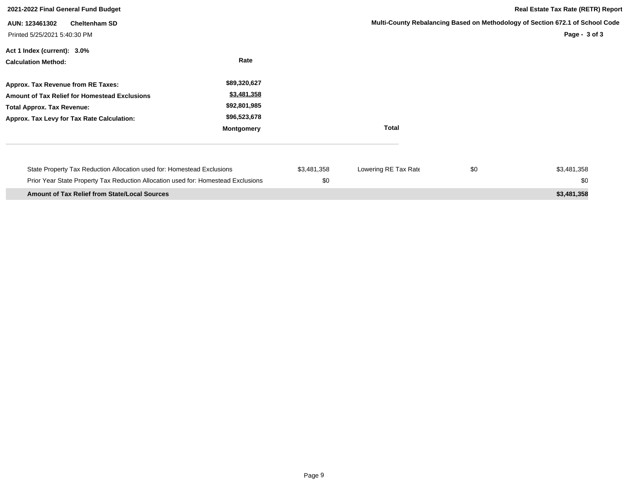| 2021-2022 Final General Fund Budget                                                                                                                                           |                                                                                  | Real Estate Tax Rate (RETR) Report |                      |     |                                                                                                |
|-------------------------------------------------------------------------------------------------------------------------------------------------------------------------------|----------------------------------------------------------------------------------|------------------------------------|----------------------|-----|------------------------------------------------------------------------------------------------|
| <b>Cheltenham SD</b><br>AUN: 123461302<br>Printed 5/25/2021 5:40:30 PM                                                                                                        |                                                                                  |                                    |                      |     | Multi-County Rebalancing Based on Methodology of Section 672.1 of School Code<br>Page - 3 of 3 |
| Act 1 Index (current): 3.0%<br><b>Calculation Method:</b>                                                                                                                     | Rate                                                                             |                                    |                      |     |                                                                                                |
| Approx. Tax Revenue from RE Taxes:<br><b>Amount of Tax Relief for Homestead Exclusions</b><br><b>Total Approx. Tax Revenue:</b><br>Approx. Tax Levy for Tax Rate Calculation: | \$89,320,627<br>\$3,481,358<br>\$92,801,985<br>\$96,523,678<br><b>Montgomery</b> |                                    | <b>Total</b>         |     |                                                                                                |
| State Property Tax Reduction Allocation used for: Homestead Exclusions<br>Prior Year State Property Tax Reduction Allocation used for: Homestead Exclusions                   |                                                                                  | \$3,481,358<br>\$0                 | Lowering RE Tax Rate | \$0 | \$3,481,358<br>\$0                                                                             |
| <b>Amount of Tax Relief from State/Local Sources</b>                                                                                                                          |                                                                                  |                                    |                      |     | \$3,481,358                                                                                    |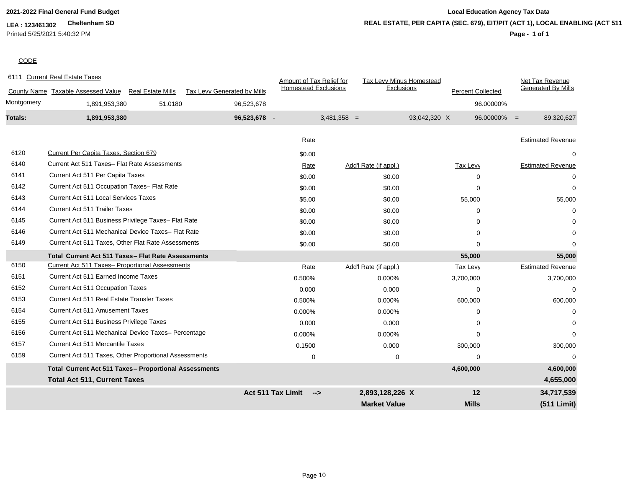### **LEA : 123461302 Cheltenham SD** Printed 5/25/2021 5:40:32 PM

## **2021-2022 Final General Fund Budget Local Education Agency Tax Data Page - 1 of 1 REAL ESTATE, PER CAPITA (SEC. 679), EIT/PIT (ACT 1), LOCAL ENABLING (ACT 511)**

### **CODE**

|            | 6111 Current Real Estate Taxes                                 |                                    | Amount of Tax Relief for    | Tax Levy Minus Homestead |                          | Net Tax Revenue              |
|------------|----------------------------------------------------------------|------------------------------------|-----------------------------|--------------------------|--------------------------|------------------------------|
|            | County Name Taxable Assessed Value<br><b>Real Estate Mills</b> | <b>Tax Levy Generated by Mills</b> | <b>Homestead Exclusions</b> | Exclusions               | <b>Percent Collected</b> | <b>Generated By Mills</b>    |
| Montgomery | 51.0180<br>1,891,953,380                                       | 96,523,678                         |                             |                          |                          | 96.00000%                    |
| Totals:    | 1,891,953,380                                                  | 96,523,678 -                       |                             | $3,481,358 =$            | 93,042,320 X             | $96.00000\% =$<br>89,320,627 |
|            |                                                                |                                    |                             |                          |                          |                              |
|            |                                                                |                                    | Rate                        |                          |                          | <b>Estimated Revenue</b>     |
| 6120       | Current Per Capita Taxes, Section 679                          |                                    | \$0.00                      |                          |                          | 0                            |
| 6140       | Current Act 511 Taxes- Flat Rate Assessments                   |                                    | Rate                        | Add'l Rate (if appl.)    | Tax Levy                 | <b>Estimated Revenue</b>     |
| 6141       | Current Act 511 Per Capita Taxes                               |                                    | \$0.00                      | \$0.00                   | 0                        | $\Omega$                     |
| 6142       | Current Act 511 Occupation Taxes- Flat Rate                    |                                    | \$0.00                      | \$0.00                   | 0                        | $\Omega$                     |
| 6143       | <b>Current Act 511 Local Services Taxes</b>                    |                                    | \$5.00                      | \$0.00                   | 55,000                   | 55,000                       |
| 6144       | <b>Current Act 511 Trailer Taxes</b>                           |                                    | \$0.00                      | \$0.00                   | 0                        | 0                            |
| 6145       | Current Act 511 Business Privilege Taxes- Flat Rate            |                                    | \$0.00                      | \$0.00                   | 0                        | 0                            |
| 6146       | Current Act 511 Mechanical Device Taxes- Flat Rate             |                                    | \$0.00                      | \$0.00                   | $\Omega$                 | $\Omega$                     |
| 6149       | Current Act 511 Taxes, Other Flat Rate Assessments             |                                    | \$0.00                      | \$0.00                   | 0                        | $\Omega$                     |
|            | Total Current Act 511 Taxes - Flat Rate Assessments            |                                    |                             |                          | 55,000                   | 55,000                       |
| 6150       | Current Act 511 Taxes- Proportional Assessments                |                                    | Rate                        | Add'l Rate (if appl.)    | <b>Tax Levy</b>          | <b>Estimated Revenue</b>     |
| 6151       | <b>Current Act 511 Earned Income Taxes</b>                     |                                    | 0.500%                      | 0.000%                   | 3,700,000                | 3,700,000                    |
| 6152       | <b>Current Act 511 Occupation Taxes</b>                        |                                    | 0.000                       | 0.000                    | $\Omega$                 | $\mathbf 0$                  |
| 6153       | Current Act 511 Real Estate Transfer Taxes                     |                                    | 0.500%                      | 0.000%                   | 600,000                  | 600,000                      |
| 6154       | <b>Current Act 511 Amusement Taxes</b>                         |                                    | 0.000%                      | 0.000%                   | 0                        | 0                            |
| 6155       | Current Act 511 Business Privilege Taxes                       |                                    | 0.000                       | 0.000                    | $\Omega$                 | $\Omega$                     |
| 6156       | Current Act 511 Mechanical Device Taxes- Percentage            |                                    | 0.000%                      | 0.000%                   | $\Omega$                 | 0                            |
| 6157       | <b>Current Act 511 Mercantile Taxes</b>                        |                                    | 0.1500                      | 0.000                    | 300,000                  | 300,000                      |
| 6159       | Current Act 511 Taxes, Other Proportional Assessments          |                                    | 0                           | $\mathbf 0$              | $\Omega$                 | $\Omega$                     |
|            | <b>Total Current Act 511 Taxes- Proportional Assessments</b>   |                                    |                             |                          | 4,600,000                | 4,600,000                    |
|            | <b>Total Act 511, Current Taxes</b>                            |                                    |                             |                          |                          | 4,655,000                    |
|            |                                                                |                                    | Act 511 Tax Limit<br>-->    | 2,893,128,226 X          | 12                       | 34,717,539                   |
|            |                                                                |                                    |                             | <b>Market Value</b>      | <b>Mills</b>             | (511 Limit)                  |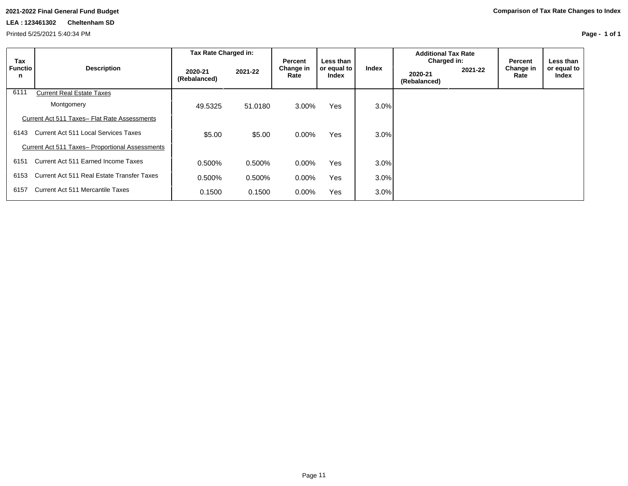### **LEA : 123461302 Cheltenham SD**

Printed 5/25/2021 5:40:34 PM

| Tax                 |                                                        | Tax Rate Charged in:    |         | Percent           | Less than            |         | <b>Additional Tax Rate</b><br>Charged in: |         | Percent           | Less than            |
|---------------------|--------------------------------------------------------|-------------------------|---------|-------------------|----------------------|---------|-------------------------------------------|---------|-------------------|----------------------|
| <b>Functio</b><br>n | <b>Description</b>                                     | 2020-21<br>(Rebalanced) | 2021-22 | Change in<br>Rate | or equal to<br>Index | Index   | 2020-21<br>(Rebalanced)                   | 2021-22 | Change in<br>Rate | or equal to<br>Index |
| 6111                | <b>Current Real Estate Taxes</b>                       |                         |         |                   |                      |         |                                           |         |                   |                      |
|                     | Montgomery                                             | 49.5325                 | 51.0180 | 3.00%             | <b>Yes</b>           | 3.0%    |                                           |         |                   |                      |
|                     | Current Act 511 Taxes- Flat Rate Assessments           |                         |         |                   |                      |         |                                           |         |                   |                      |
| 6143                | <b>Current Act 511 Local Services Taxes</b>            | \$5.00                  | \$5.00  | $0.00\%$          | <b>Yes</b>           | $3.0\%$ |                                           |         |                   |                      |
|                     | <b>Current Act 511 Taxes- Proportional Assessments</b> |                         |         |                   |                      |         |                                           |         |                   |                      |
| 6151                | Current Act 511 Earned Income Taxes                    | 0.500%                  | 0.500%  | $0.00\%$          | <b>Yes</b>           | 3.0%    |                                           |         |                   |                      |
| 6153                | Current Act 511 Real Estate Transfer Taxes             | 0.500%                  | 0.500%  | $0.00\%$          | <b>Yes</b>           | 3.0%    |                                           |         |                   |                      |
| 6157                | Current Act 511 Mercantile Taxes                       | 0.1500                  | 0.1500  | $0.00\%$          | Yes                  | 3.0%    |                                           |         |                   |                      |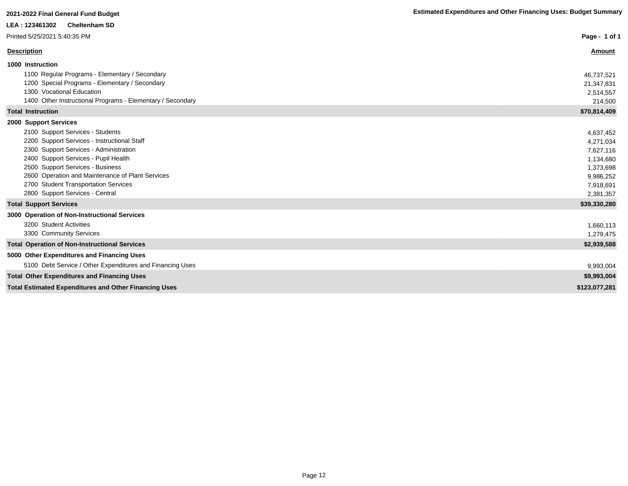| LEA: 123461302<br><b>Cheltenham SD</b>                       |               |
|--------------------------------------------------------------|---------------|
| Printed 5/25/2021 5:40:35 PM                                 | Page - 1 of 1 |
| <b>Description</b>                                           | <b>Amount</b> |
| 1000 Instruction                                             |               |
| 1100 Regular Programs - Elementary / Secondary               | 46,737,521    |
| 1200 Special Programs - Elementary / Secondary               | 21,347,831    |
| 1300 Vocational Education                                    | 2,514,557     |
| 1400 Other Instructional Programs - Elementary / Secondary   | 214,500       |
| <b>Total Instruction</b>                                     | \$70,814,409  |
| 2000 Support Services                                        |               |
| 2100 Support Services - Students                             | 4,637,452     |
| 2200 Support Services - Instructional Staff                  | 4,271,034     |
| 2300 Support Services - Administration                       | 7,627,116     |
| 2400 Support Services - Pupil Health                         | 1,134,680     |
| 2500 Support Services - Business                             | 1,373,698     |
| 2600 Operation and Maintenance of Plant Services             | 9,986,252     |
| 2700 Student Transportation Services                         | 7,918,691     |
| 2800 Support Services - Central                              | 2,381,357     |
| <b>Total Support Services</b>                                | \$39,330,280  |
| 3000 Operation of Non-Instructional Services                 |               |
| 3200 Student Activities                                      | 1,660,113     |
| 3300 Community Services                                      | 1,279,475     |
| <b>Total Operation of Non-Instructional Services</b>         | \$2,939,588   |
| 5000 Other Expenditures and Financing Uses                   |               |
| 5100 Debt Service / Other Expenditures and Financing Uses    | 9,993,004     |
| <b>Total Other Expenditures and Financing Uses</b>           | \$9,993,004   |
| <b>Total Estimated Expenditures and Other Financing Uses</b> | \$123,077,281 |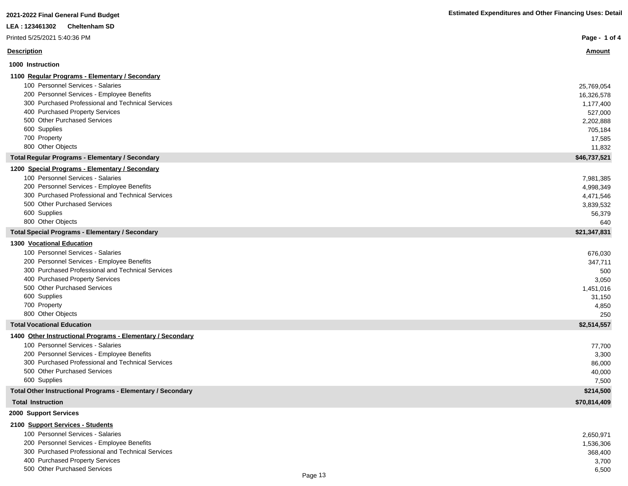| 2021-2022 Final General Fund Budget                             | <b>Estimated Expenditures and Other Financing Uses: Detail</b> |
|-----------------------------------------------------------------|----------------------------------------------------------------|
| <b>Cheltenham SD</b><br>LEA: 123461302                          |                                                                |
| Printed 5/25/2021 5:40:36 PM                                    | Page - 1 of 4                                                  |
| <b>Description</b>                                              | <u>Amount</u>                                                  |
| 1000 Instruction                                                |                                                                |
| 1100 Regular Programs - Elementary / Secondary                  |                                                                |
| 100 Personnel Services - Salaries                               | 25,769,054                                                     |
| 200 Personnel Services - Employee Benefits                      | 16,326,578                                                     |
| 300 Purchased Professional and Technical Services               | 1,177,400                                                      |
| 400 Purchased Property Services                                 | 527,000                                                        |
| 500 Other Purchased Services                                    | 2,202,888                                                      |
| 600 Supplies                                                    | 705,184                                                        |
| 700 Property                                                    | 17,585                                                         |
| 800 Other Objects                                               | 11,832                                                         |
| <b>Total Regular Programs - Elementary / Secondary</b>          | \$46,737,521                                                   |
| 1200 Special Programs - Elementary / Secondary                  |                                                                |
| 100 Personnel Services - Salaries                               | 7,981,385                                                      |
| 200 Personnel Services - Employee Benefits                      | 4,998,349                                                      |
| 300 Purchased Professional and Technical Services               | 4,471,546                                                      |
| 500 Other Purchased Services                                    | 3,839,532                                                      |
| 600 Supplies                                                    | 56,379                                                         |
| 800 Other Objects                                               | 640                                                            |
| <b>Total Special Programs - Elementary / Secondary</b>          | \$21,347,831                                                   |
| <b>1300 Vocational Education</b>                                |                                                                |
| 100 Personnel Services - Salaries                               | 676,030                                                        |
| 200 Personnel Services - Employee Benefits                      | 347,711                                                        |
| 300 Purchased Professional and Technical Services               | 500                                                            |
| 400 Purchased Property Services<br>500 Other Purchased Services | 3,050                                                          |
| 600 Supplies                                                    | 1,451,016                                                      |
| 700 Property                                                    | 31,150                                                         |
| 800 Other Objects                                               | 4,850<br>250                                                   |
| <b>Total Vocational Education</b>                               | \$2,514,557                                                    |
| 1400 Other Instructional Programs - Elementary / Secondary      |                                                                |
| 100 Personnel Services - Salaries                               | 77,700                                                         |
| 200 Personnel Services - Employee Benefits                      | 3,300                                                          |
| 300 Purchased Professional and Technical Services               | 86,000                                                         |
| 500 Other Purchased Services                                    | 40,000                                                         |
| 600 Supplies                                                    | 7,500                                                          |
| Total Other Instructional Programs - Elementary / Secondary     | \$214,500                                                      |
| <b>Total Instruction</b>                                        | \$70,814,409                                                   |
| 2000 Support Services                                           |                                                                |
| 2100 Support Services - Students                                |                                                                |

| 100 Personnel Services - Salaries                 |         | 2,650,971 |
|---------------------------------------------------|---------|-----------|
| 200 Personnel Services - Employee Benefits        |         | 1,536,306 |
| 300 Purchased Professional and Technical Services |         | 368,400   |
| 400 Purchased Property Services                   |         | 3,700     |
| 500 Other Purchased Services                      |         | 6,500     |
|                                                   | Page 13 |           |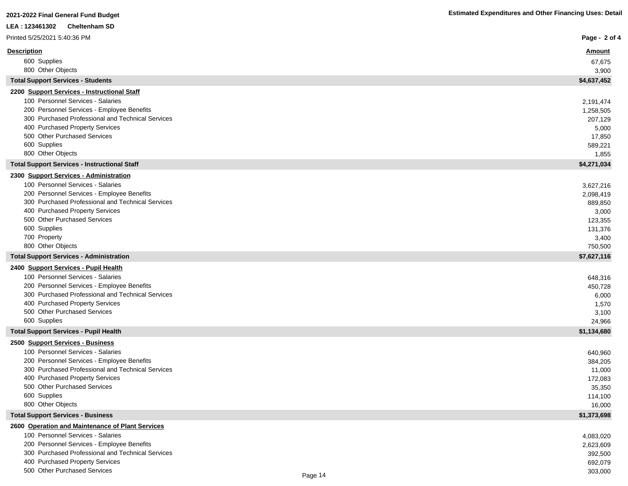| LEA : 123461302<br><b>Cheltenham SD</b>                                                         |                   |
|-------------------------------------------------------------------------------------------------|-------------------|
| Printed 5/25/2021 5:40:36 PM                                                                    | Page - 2 of 4     |
| <b>Description</b>                                                                              | <u>Amount</u>     |
| 600 Supplies                                                                                    | 67,675            |
| 800 Other Objects                                                                               | 3,900             |
| <b>Total Support Services - Students</b>                                                        | \$4,637,452       |
| 2200 Support Services - Instructional Staff                                                     |                   |
| 100 Personnel Services - Salaries                                                               | 2,191,474         |
| 200 Personnel Services - Employee Benefits                                                      | 1,258,505         |
| 300 Purchased Professional and Technical Services<br>400 Purchased Property Services            | 207,129           |
| 500 Other Purchased Services                                                                    | 5,000<br>17,850   |
| 600 Supplies                                                                                    | 589,221           |
| 800 Other Objects                                                                               | 1,855             |
| <b>Total Support Services - Instructional Staff</b>                                             | \$4,271,034       |
| 2300 Support Services - Administration                                                          |                   |
| 100 Personnel Services - Salaries                                                               | 3,627,216         |
| 200 Personnel Services - Employee Benefits                                                      | 2,098,419         |
| 300 Purchased Professional and Technical Services                                               | 889,850           |
| 400 Purchased Property Services                                                                 | 3,000             |
| 500 Other Purchased Services                                                                    | 123,355           |
| 600 Supplies                                                                                    | 131,376           |
| 700 Property<br>800 Other Objects                                                               | 3,400<br>750,500  |
| <b>Total Support Services - Administration</b>                                                  | \$7,627,116       |
| 2400 Support Services - Pupil Health                                                            |                   |
| 100 Personnel Services - Salaries                                                               | 648,316           |
| 200 Personnel Services - Employee Benefits                                                      | 450,728           |
| 300 Purchased Professional and Technical Services                                               | 6,000             |
| 400 Purchased Property Services                                                                 | 1,570             |
| 500 Other Purchased Services                                                                    | 3,100             |
| 600 Supplies                                                                                    | 24,966            |
| <b>Total Support Services - Pupil Health</b>                                                    | \$1,134,680       |
| 2500 Support Services - Business                                                                |                   |
| 100 Personnel Services - Salaries                                                               | 640,960           |
| 200 Personnel Services - Employee Benefits<br>300 Purchased Professional and Technical Services | 384,205           |
| 400 Purchased Property Services                                                                 | 11,000<br>172,083 |
| 500 Other Purchased Services                                                                    | 35,350            |
| 600 Supplies                                                                                    | 114,100           |
| 800 Other Objects                                                                               | 16,000            |
| <b>Total Support Services - Business</b>                                                        | \$1,373,698       |
| 2600 Operation and Maintenance of Plant Services                                                |                   |
| 100 Personnel Services - Salaries                                                               | 4,083,020         |
| 200 Personnel Services - Employee Benefits                                                      | 2,623,609         |
| 300 Purchased Professional and Technical Services                                               | 392,500           |
| 400 Purchased Property Services<br>500 Other Purchased Services                                 | 692,079           |
|                                                                                                 | 303,000           |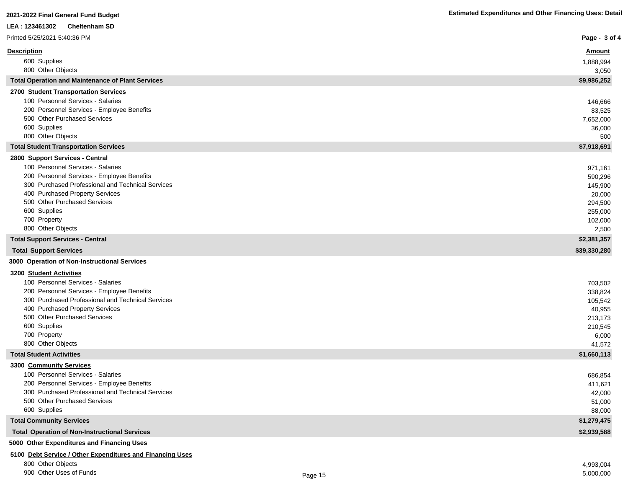| LEA: 123461302<br><b>Cheltenham SD</b>                                          |                      |
|---------------------------------------------------------------------------------|----------------------|
| Printed 5/25/2021 5:40:36 PM                                                    | Page - 3 of 4        |
| <b>Description</b>                                                              | <b>Amount</b>        |
| 600 Supplies                                                                    | 1,888,994            |
| 800 Other Objects                                                               | 3,050                |
| <b>Total Operation and Maintenance of Plant Services</b>                        | \$9,986,252          |
| 2700 Student Transportation Services                                            |                      |
| 100 Personnel Services - Salaries                                               | 146,666              |
| 200 Personnel Services - Employee Benefits                                      | 83,525               |
| 500 Other Purchased Services                                                    | 7,652,000            |
| 600 Supplies                                                                    | 36,000               |
| 800 Other Objects                                                               | 500                  |
| <b>Total Student Transportation Services</b>                                    | \$7,918,691          |
| 2800 Support Services - Central                                                 |                      |
| 100 Personnel Services - Salaries                                               | 971,161              |
| 200 Personnel Services - Employee Benefits                                      | 590,296              |
| 300 Purchased Professional and Technical Services                               | 145,900              |
| 400 Purchased Property Services                                                 | 20,000               |
| 500 Other Purchased Services                                                    | 294,500              |
| 600 Supplies                                                                    | 255,000              |
| 700 Property<br>800 Other Objects                                               | 102,000              |
| <b>Total Support Services - Central</b>                                         | 2,500<br>\$2,381,357 |
| <b>Total Support Services</b>                                                   | \$39,330,280         |
| 3000 Operation of Non-Instructional Services                                    |                      |
|                                                                                 |                      |
| 3200 Student Activities                                                         |                      |
| 100 Personnel Services - Salaries<br>200 Personnel Services - Employee Benefits | 703,502              |
| 300 Purchased Professional and Technical Services                               | 338,824<br>105,542   |
| 400 Purchased Property Services                                                 | 40,955               |
| 500 Other Purchased Services                                                    | 213,173              |
| 600 Supplies                                                                    | 210,545              |
| 700 Property                                                                    | 6,000                |
| 800 Other Objects                                                               | 41,572               |
| <b>Total Student Activities</b>                                                 | \$1,660,113          |
| 3300 Community Services                                                         |                      |
| 100 Personnel Services - Salaries                                               | 686,854              |
| 200 Personnel Services - Employee Benefits                                      | 411,621              |
| 300 Purchased Professional and Technical Services                               | 42,000               |
| 500 Other Purchased Services                                                    | 51,000               |
| 600 Supplies                                                                    | 88,000               |
| <b>Total Community Services</b>                                                 | \$1,279,475          |
| <b>Total Operation of Non-Instructional Services</b>                            | \$2,939,588          |

**5000 Other Expenditures and Financing Uses**

### **5100 Debt Service / Other Expenditures and Financing Uses**

800 Other Objects 4,993,004

900 Other Uses of Funds 5,000,000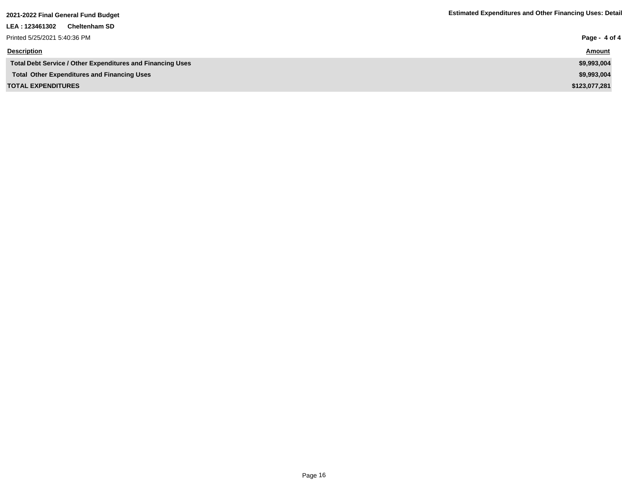| LEA : 123461302<br><b>Cheltenham SD</b>                           |               |
|-------------------------------------------------------------------|---------------|
| Printed 5/25/2021 5:40:36 PM                                      | Page - 4 of 4 |
| <b>Description</b>                                                | <b>Amount</b> |
| <b>Total Debt Service / Other Expenditures and Financing Uses</b> | \$9,993,004   |
| <b>Total Other Expenditures and Financing Uses</b>                | \$9,993,004   |
| <b>TOTAL EXPENDITURES</b>                                         | \$123,077,281 |
|                                                                   |               |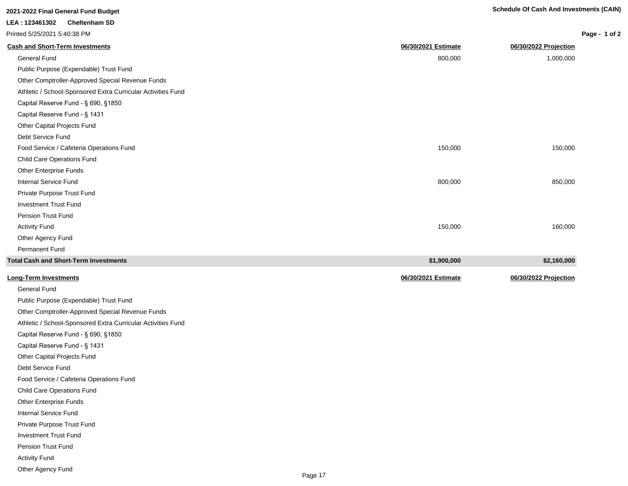**Long-Term Investments 06/30/2021 Estimate 06/30/2022 Projection**

| 2021-2022 Final General Fund Budget                          |                     | <b>Schedule Of Cash And Investments (CAIN)</b> |               |
|--------------------------------------------------------------|---------------------|------------------------------------------------|---------------|
| LEA: 123461302<br><b>Cheltenham SD</b>                       |                     |                                                |               |
| Printed 5/25/2021 5:40:38 PM                                 |                     |                                                | Page - 1 of 2 |
| <b>Cash and Short-Term Investments</b>                       | 06/30/2021 Estimate | 06/30/2022 Projection                          |               |
| <b>General Fund</b>                                          | 800,000             | 1,000,000                                      |               |
| Public Purpose (Expendable) Trust Fund                       |                     |                                                |               |
| Other Comptroller-Approved Special Revenue Funds             |                     |                                                |               |
| Athletic / School-Sponsored Extra Curricular Activities Fund |                     |                                                |               |
| Capital Reserve Fund - § 690, §1850                          |                     |                                                |               |
| Capital Reserve Fund - § 1431                                |                     |                                                |               |
| Other Capital Projects Fund                                  |                     |                                                |               |
| Debt Service Fund                                            |                     |                                                |               |
| Food Service / Cafeteria Operations Fund                     | 150,000             | 150,000                                        |               |
| <b>Child Care Operations Fund</b>                            |                     |                                                |               |
| Other Enterprise Funds                                       |                     |                                                |               |
| <b>Internal Service Fund</b>                                 | 800,000             | 850,000                                        |               |
| Private Purpose Trust Fund                                   |                     |                                                |               |
| <b>Investment Trust Fund</b>                                 |                     |                                                |               |
| Pension Trust Fund                                           |                     |                                                |               |
| <b>Activity Fund</b>                                         | 150,000             | 160,000                                        |               |
| Other Agency Fund                                            |                     |                                                |               |
| Permanent Fund                                               |                     |                                                |               |
| <b>Total Cash and Short-Term Investments</b>                 | \$1,900,000         | \$2,160,000                                    |               |

| <b>Long-Term Investments</b> |
|------------------------------|
|                              |

General Fund Public Purpose (Expendable) Trust Fund Other Comptroller-Approved Special Revenue Funds Athletic / School-Sponsored Extra Curricular Activities Fund Capital Reserve Fund - § 690, §1850 Capital Reserve Fund - § 1431 Other Capital Projects Fund Debt Service Fund Food Service / Cafeteria Operations Fund Child Care Operations Fund Other Enterprise Funds Internal Service Fund Private Purpose Trust Fund Investment Trust Fund Pension Trust Fund Activity Fund Other Agency Fund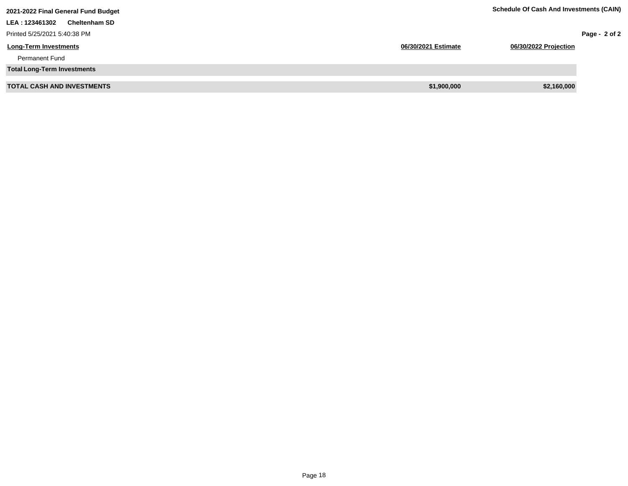| 2021-2022 Final General Fund Budget     | <b>Schedule Of Cash And Investments (CAIN)</b> |                       |
|-----------------------------------------|------------------------------------------------|-----------------------|
| <b>Cheltenham SD</b><br>LEA : 123461302 |                                                |                       |
| Printed 5/25/2021 5:40:38 PM            |                                                | Page - $2$ of 2       |
| <b>Long-Term Investments</b>            | 06/30/2021 Estimate                            | 06/30/2022 Projection |
| <b>Permanent Fund</b>                   |                                                |                       |
| <b>Total Long-Term Investments</b>      |                                                |                       |
| <b>TOTAL CASH AND INVESTMENTS</b>       | \$1,900,000                                    | \$2,160,000           |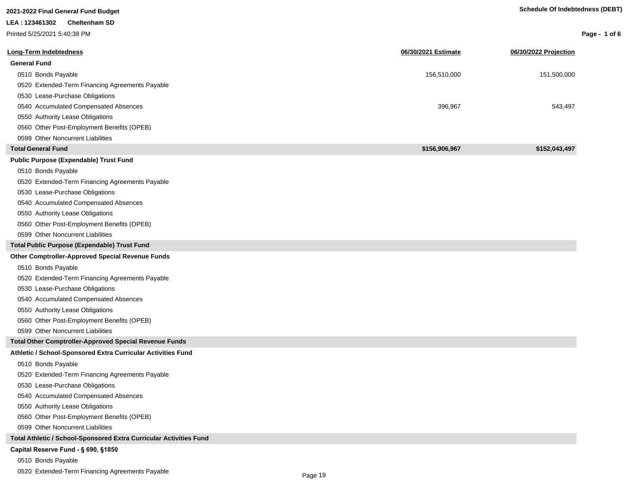| LEA: 123461302<br><b>Cheltenham SD</b><br>Printed 5/25/2021 5:40:38 PM<br>Page - 1 of 6 |
|-----------------------------------------------------------------------------------------|
|                                                                                         |
|                                                                                         |
| Long-Term Indebtedness<br>06/30/2021 Estimate<br>06/30/2022 Projection                  |
| <b>General Fund</b>                                                                     |
| 0510 Bonds Payable<br>156,510,000<br>151,500,000                                        |
| 0520 Extended-Term Financing Agreements Payable                                         |
| 0530 Lease-Purchase Obligations                                                         |
| 0540 Accumulated Compensated Absences<br>396,967<br>543,497                             |
| 0550 Authority Lease Obligations                                                        |
| 0560 Other Post-Employment Benefits (OPEB)                                              |
| 0599 Other Noncurrent Liabilities                                                       |
| <b>Total General Fund</b><br>\$156,906,967<br>\$152,043,497                             |
| <b>Public Purpose (Expendable) Trust Fund</b>                                           |
| 0510 Bonds Payable                                                                      |
| 0520 Extended-Term Financing Agreements Payable                                         |
| 0530 Lease-Purchase Obligations                                                         |
| 0540 Accumulated Compensated Absences                                                   |
| 0550 Authority Lease Obligations                                                        |
| 0560 Other Post-Employment Benefits (OPEB)                                              |
| 0599 Other Noncurrent Liabilities                                                       |
| <b>Total Public Purpose (Expendable) Trust Fund</b>                                     |
| <b>Other Comptroller-Approved Special Revenue Funds</b>                                 |
| 0510 Bonds Payable                                                                      |
| 0520 Extended-Term Financing Agreements Payable                                         |
| 0530 Lease-Purchase Obligations                                                         |
| 0540 Accumulated Compensated Absences                                                   |
| 0550 Authority Lease Obligations                                                        |
| 0560 Other Post-Employment Benefits (OPEB)                                              |
| 0599 Other Noncurrent Liabilities                                                       |
| <b>Total Other Comptroller-Approved Special Revenue Funds</b>                           |
| Athletic / School-Sponsored Extra Curricular Activities Fund                            |
| 0510 Bonds Payable                                                                      |
| 0520 Extended-Term Financing Agreements Payable                                         |
| 0530 Lease-Purchase Obligations                                                         |
| 0540 Accumulated Compensated Absences                                                   |
| 0550 Authority Lease Obligations                                                        |
| 0560 Other Post-Employment Benefits (OPEB)                                              |
| 0599 Other Noncurrent Liabilities                                                       |
| Total Athletic / School-Sponsored Extra Curricular Activities Fund                      |
| Capital Reserve Fund - § 690, §1850                                                     |
| 0510 Bonds Payable                                                                      |

0520 Extended-Term Financing Agreements Payable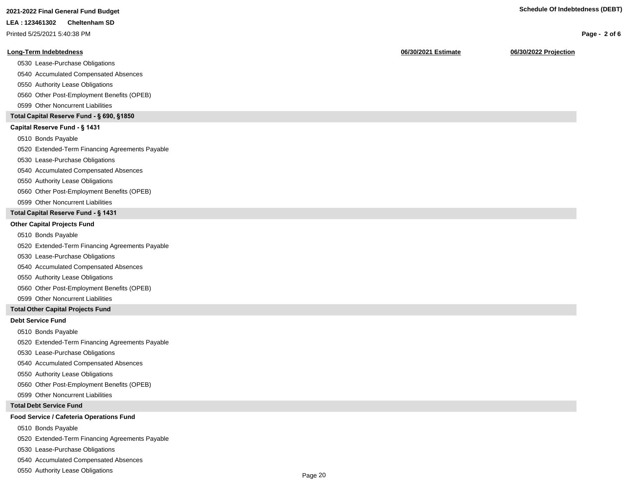#### **LEA : 123461302 Cheltenham SD**

Printed 5/25/2021 5:40:38 PM

#### **Long-Term Indebtedness 06/30/2021 Estimate 06/30/2022 Projection**

0530 Lease-Purchase Obligations

0540 Accumulated Compensated Absences

0550 Authority Lease Obligations

0560 Other Post-Employment Benefits (OPEB)

0599 Other Noncurrent Liabilities

#### **Total Capital Reserve Fund - § 690, §1850**

#### Capital Reserve Fund - § 1431

0510 Bonds Payable

0520 Extended-Term Financing Agreements Payable

0530 Lease-Purchase Obligations

0540 Accumulated Compensated Absences

#### 0550 Authority Lease Obligations

0560 Other Post-Employment Benefits (OPEB)

0599 Other Noncurrent Liabilities

#### **Total Capital Reserve Fund - § 1431**

#### **Other Capital Projects Fund**

0510 Bonds Payable

0520 Extended-Term Financing Agreements Payable

0530 Lease-Purchase Obligations

0540 Accumulated Compensated Absences

0550 Authority Lease Obligations

0560 Other Post-Employment Benefits (OPEB)

0599 Other Noncurrent Liabilities

#### **Total Other Capital Projects Fund**

#### **Debt Service Fund**

0510 Bonds Payable

0520 Extended-Term Financing Agreements Payable

0530 Lease-Purchase Obligations

0540 Accumulated Compensated Absences

0550 Authority Lease Obligations

0560 Other Post-Employment Benefits (OPEB)

0599 Other Noncurrent Liabilities

#### **Total Debt Service Fund**

#### **Food Service / Cafeteria Operations Fund**

0510 Bonds Payable

0520 Extended-Term Financing Agreements Payable

0530 Lease-Purchase Obligations

0540 Accumulated Compensated Absences

0550 Authority Lease Obligations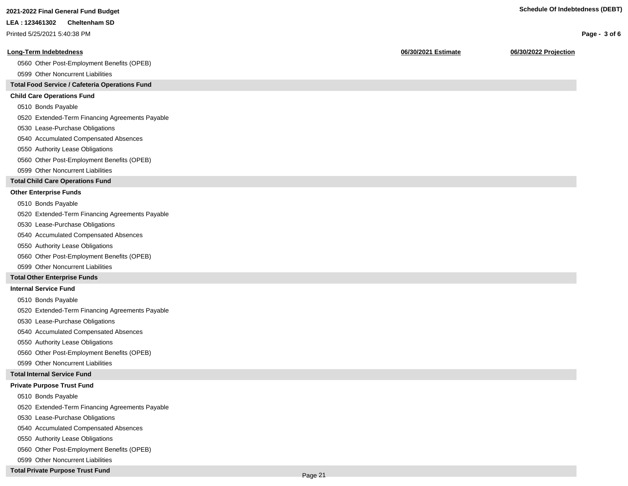**Page - 3 of 6**

#### **LEA : 123461302 Cheltenham SD**

Printed 5/25/2021 5:40:38 PM

#### **Long-Term Indebtedness 06/30/2021 Estimate 06/30/2022 Projection**

0560 Other Post-Employment Benefits (OPEB)

0599 Other Noncurrent Liabilities

#### **Total Food Service / Cafeteria Operations Fund**

#### **Child Care Operations Fund**

0510 Bonds Payable

0520 Extended-Term Financing Agreements Payable

- 0530 Lease-Purchase Obligations
- 0540 Accumulated Compensated Absences
- 0550 Authority Lease Obligations
- 0560 Other Post-Employment Benefits (OPEB)
- 0599 Other Noncurrent Liabilities

#### **Total Child Care Operations Fund**

#### **Other Enterprise Funds**

- 0510 Bonds Payable
- 0520 Extended-Term Financing Agreements Payable
- 0530 Lease-Purchase Obligations
- 0540 Accumulated Compensated Absences
- 0550 Authority Lease Obligations
- 0560 Other Post-Employment Benefits (OPEB)
- 0599 Other Noncurrent Liabilities

#### **Total Other Enterprise Funds**

#### **Internal Service Fund**

- 0510 Bonds Payable
- 0520 Extended-Term Financing Agreements Payable
- 0530 Lease-Purchase Obligations
- 0540 Accumulated Compensated Absences
- 0550 Authority Lease Obligations
- 0560 Other Post-Employment Benefits (OPEB)
- 0599 Other Noncurrent Liabilities

#### **Total Internal Service Fund**

#### **Private Purpose Trust Fund**

- 0510 Bonds Payable
- 0520 Extended-Term Financing Agreements Payable
- 0530 Lease-Purchase Obligations
- 0540 Accumulated Compensated Absences
- 0550 Authority Lease Obligations
- 0560 Other Post-Employment Benefits (OPEB)
- 0599 Other Noncurrent Liabilities

#### **Total Private Purpose Trust Fund**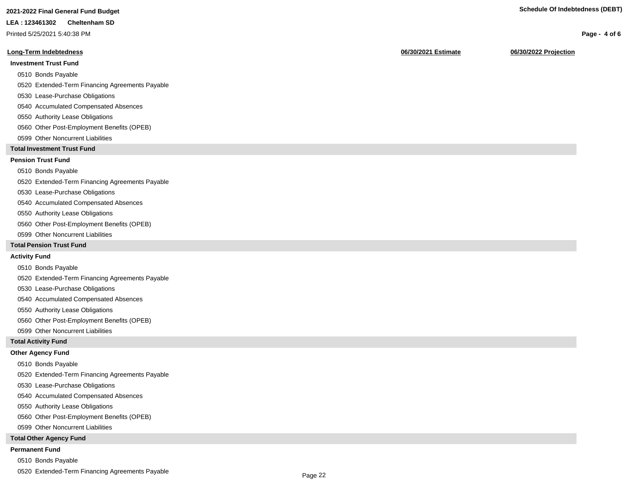### **2021-2022 Final General Fund Budget Schedule Of Indebtedness (DEBT)**

#### **LEA : 123461302 Cheltenham SD**

Printed 5/25/2021 5:40:38 PM

#### **Long-Term Indebtedness 06/30/2021 Estimate 06/30/2022 Projection**

#### **Investment Trust Fund**

- 0510 Bonds Payable
- 0520 Extended-Term Financing Agreements Payable
- 0530 Lease-Purchase Obligations
- 0540 Accumulated Compensated Absences
- 0550 Authority Lease Obligations
- 0560 Other Post-Employment Benefits (OPEB)
- 0599 Other Noncurrent Liabilities

#### **Total Investment Trust Fund**

#### **Pension Trust Fund**

#### 0510 Bonds Payable

0520 Extended-Term Financing Agreements Payable

- 0530 Lease-Purchase Obligations
- 0540 Accumulated Compensated Absences
- 0550 Authority Lease Obligations
- 0560 Other Post-Employment Benefits (OPEB)
- 0599 Other Noncurrent Liabilities

#### **Total Pension Trust Fund**

#### **Activity Fund**

- 0510 Bonds Payable
- 0520 Extended-Term Financing Agreements Payable
- 0530 Lease-Purchase Obligations
- 0540 Accumulated Compensated Absences
- 0550 Authority Lease Obligations
- 0560 Other Post-Employment Benefits (OPEB)
- 0599 Other Noncurrent Liabilities

#### **Total Activity Fund**

#### **Other Agency Fund**

- 0510 Bonds Payable
- 0520 Extended-Term Financing Agreements Payable
- 0530 Lease-Purchase Obligations
- 0540 Accumulated Compensated Absences
- 0550 Authority Lease Obligations
- 0560 Other Post-Employment Benefits (OPEB)
- 0599 Other Noncurrent Liabilities

#### **Total Other Agency Fund**

#### **Permanent Fund**

- 0510 Bonds Payable
- 0520 Extended-Term Financing Agreements Payable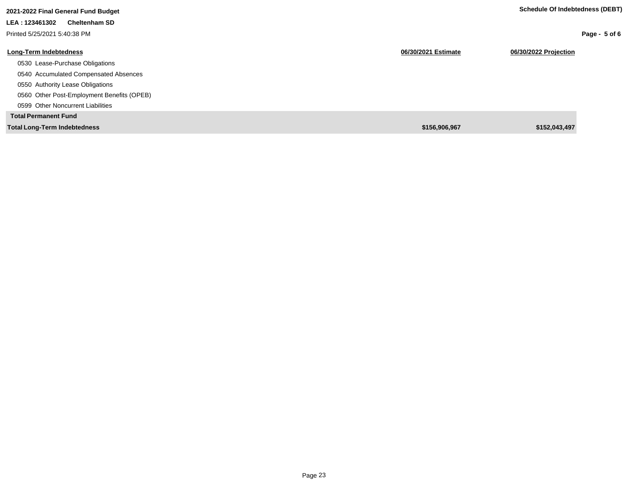| 2021-2022 Final General Fund Budget        |                     | Schedule Of Indebtedness (DEBT) |
|--------------------------------------------|---------------------|---------------------------------|
| LEA: 123461302<br><b>Cheltenham SD</b>     |                     |                                 |
| Printed 5/25/2021 5:40:38 PM               |                     | Page - $5$ of 6                 |
| <b>Long-Term Indebtedness</b>              | 06/30/2021 Estimate | 06/30/2022 Projection           |
| 0530 Lease-Purchase Obligations            |                     |                                 |
| 0540 Accumulated Compensated Absences      |                     |                                 |
| 0550 Authority Lease Obligations           |                     |                                 |
| 0560 Other Post-Employment Benefits (OPEB) |                     |                                 |
| 0599 Other Noncurrent Liabilities          |                     |                                 |
| <b>Total Permanent Fund</b>                |                     |                                 |
| <b>Total Long-Term Indebtedness</b>        | \$156,906,967       | \$152,043,497                   |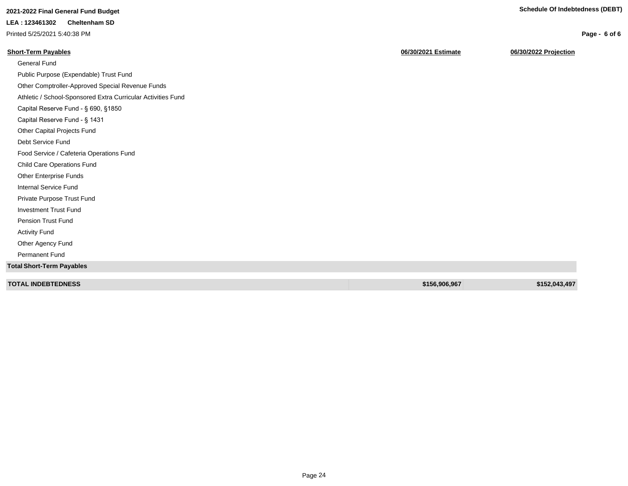**Page - 6 of 6**

## **2021-2022 Final General Fund Budget Schedule Of Indebtedness (DEBT)**

### **LEA : 123461302 Cheltenham SD**

Printed 5/25/2021 5:40:38 PM

| 06/30/2021 Estimate | 06/30/2022 Projection |
|---------------------|-----------------------|
|                     |                       |
|                     |                       |
|                     |                       |
|                     |                       |
|                     |                       |
|                     |                       |
|                     |                       |
|                     |                       |
|                     |                       |
|                     |                       |
|                     |                       |
|                     |                       |
|                     |                       |
|                     |                       |
|                     |                       |
|                     |                       |
|                     |                       |
|                     |                       |
|                     |                       |
|                     | \$152,043,497         |
|                     | \$156,906,967         |